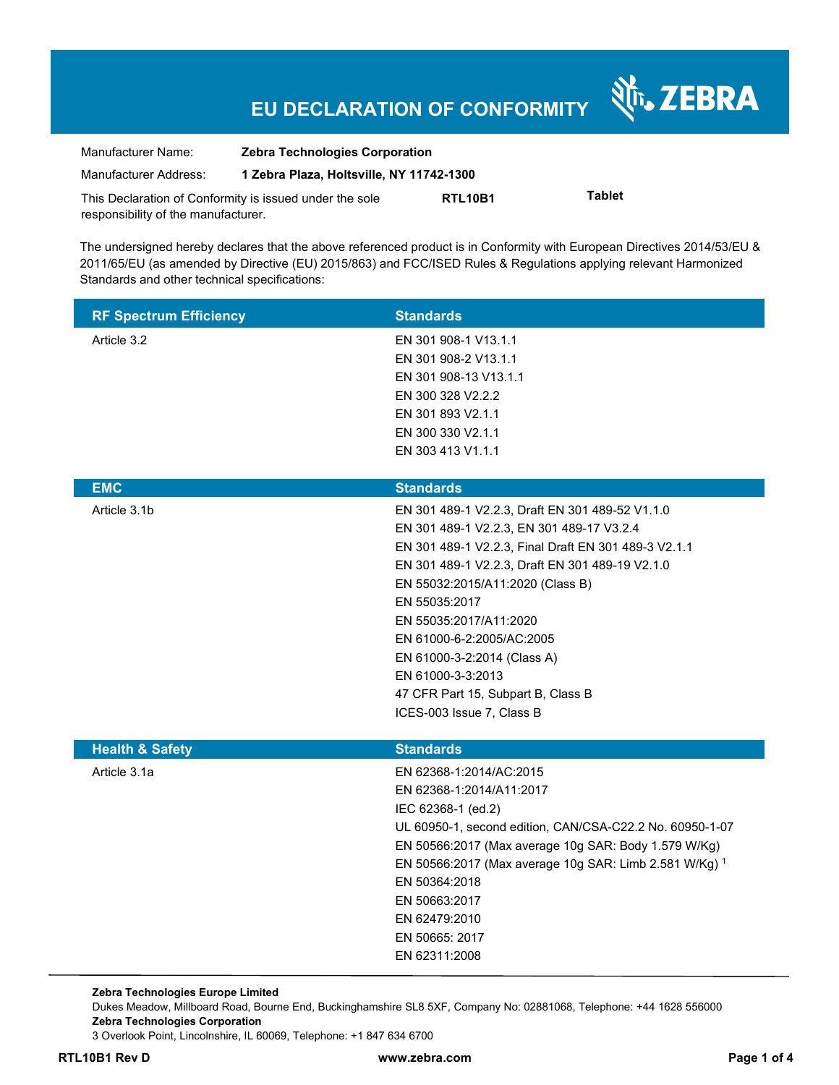## **EU DECLARATION OF CONFORMITY**

Nr. ZEBRA

| Manufacturer Name:                                      | <b>Zebra Technologies Corporation</b>    |                                  |               |
|---------------------------------------------------------|------------------------------------------|----------------------------------|---------------|
| Manufacturer Address:                                   | 1 Zebra Plaza, Holtsville, NY 11742-1300 |                                  |               |
| This Declaration of Conformity is issued under the sole |                                          | RTL <sub>10</sub> B <sub>1</sub> | <b>Tablet</b> |
| responsibility of the manufacturer.                     |                                          |                                  |               |

The undersigned hereby declares that the above referenced product is in Conformity with European Directives 2014/53/EU & 2011/65/EU (as amended by Directive (EU) 2015/863) and FCC/ISED Rules & Regulations applying relevant Harmonized Standards and other technical specifications:

| <b>RF Spectrum Efficiency</b> | <b>Standards</b>                                         |
|-------------------------------|----------------------------------------------------------|
| Article 3.2                   | EN 301 908-1 V13.1.1                                     |
|                               | EN 301 908-2 V13.1.1                                     |
|                               | EN 301 908-13 V13.1.1                                    |
|                               | EN 300 328 V2.2.2                                        |
|                               | EN 301 893 V2.1.1                                        |
|                               | EN 300 330 V2.1.1<br>EN 303 413 V1.1.1                   |
|                               |                                                          |
| <b>EMC</b>                    | <b>Standards</b>                                         |
| Article 3.1b                  | EN 301 489-1 V2.2.3, Draft EN 301 489-52 V1.1.0          |
|                               | EN 301 489-1 V2.2.3, EN 301 489-17 V3.2.4                |
|                               | EN 301 489-1 V2.2.3, Final Draft EN 301 489-3 V2.1.1     |
|                               | EN 301 489-1 V2.2.3, Draft EN 301 489-19 V2.1.0          |
|                               | EN 55032:2015/A11:2020 (Class B)                         |
|                               | EN 55035:2017                                            |
|                               | EN 55035:2017/A11:2020                                   |
|                               | EN 61000-6-2:2005/AC:2005                                |
|                               | EN 61000-3-2:2014 (Class A)<br>EN 61000-3-3:2013         |
|                               | 47 CFR Part 15, Subpart B, Class B                       |
|                               | ICES-003 Issue 7, Class B                                |
|                               |                                                          |
| <b>Health &amp; Safety</b>    | <b>Standards</b>                                         |
| Article 3.1a                  | EN 62368-1:2014/AC:2015                                  |
|                               | EN 62368-1:2014/A11:2017                                 |
|                               | IEC 62368-1 (ed.2)                                       |
|                               | UL 60950-1, second edition, CAN/CSA-C22.2 No. 60950-1-07 |
|                               | EN 50566:2017 (Max average 10g SAR: Body 1.579 W/Kg)     |
|                               | EN 50566:2017 (Max average 10g SAR: Limb 2.581 W/Kg) 1   |
|                               | EN 50364:2018                                            |
|                               | EN 50663:2017<br>EN 62479:2010                           |
|                               | EN 50665: 2017                                           |
|                               | EN 62311:2008                                            |
|                               |                                                          |

**Zebra Technologies Europe Limited**  Dukes Meadow, Millboard Road, Bourne End, Buckinghamshire SL8 5XF, Company No: 02881068, Telephone: +44 1628 556000 **Zebra Technologies Corporation**  3 Overlook Point, Lincolnshire, IL 60069, Telephone: +1 847 634 6700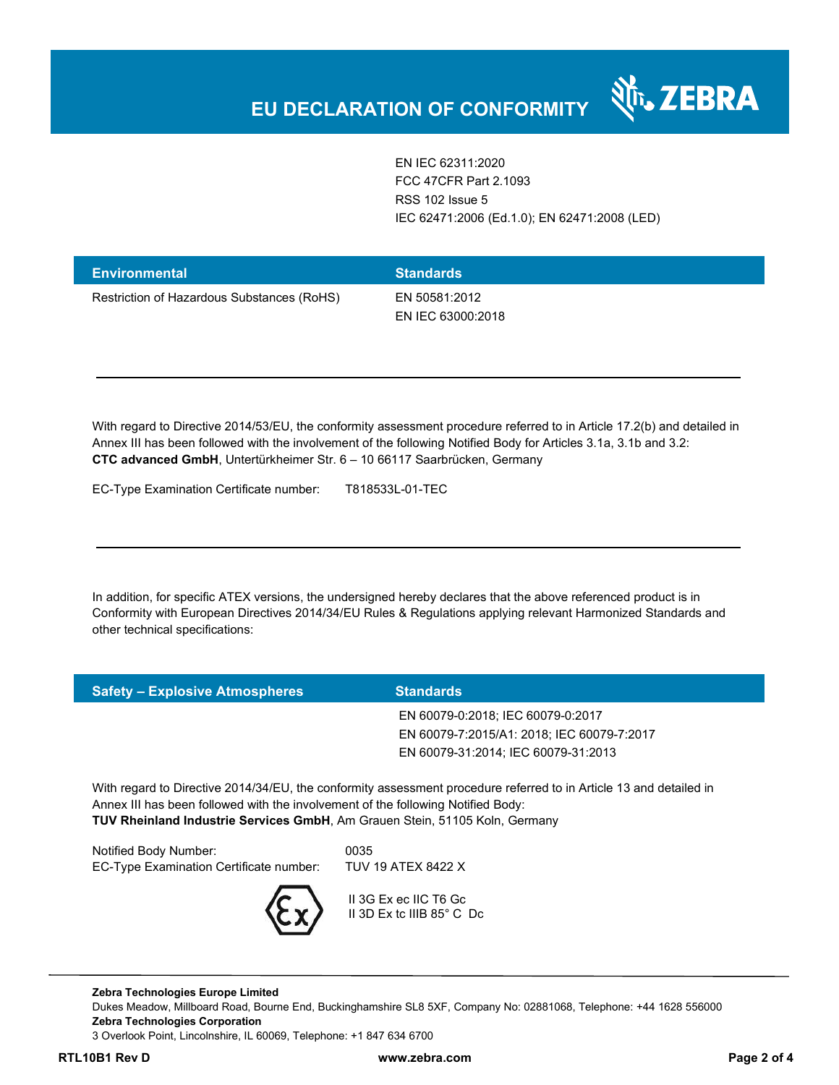EN IEC 62311:2020 FCC 47CFR Part 2.1093 RSS 102 Issue 5 IEC 62471:2006 (Ed.1.0); EN 62471:2008 (LED)

र्शे<sub>ं</sub> ZEBRA

| <b>Environmental</b>                       | <b>Standards</b>                   |
|--------------------------------------------|------------------------------------|
| Restriction of Hazardous Substances (RoHS) | EN 50581:2012<br>EN IEC 63000:2018 |

With regard to Directive 2014/53/EU, the conformity assessment procedure referred to in Article 17.2(b) and detailed in Annex III has been followed with the involvement of the following Notified Body for Articles 3.1a, 3.1b and 3.2: **CTC advanced GmbH**, Untertürkheimer Str. 6 – 10 66117 Saarbrücken, Germany

EC-Type Examination Certificate number: T818533L-01-TEC

In addition, for specific ATEX versions, the undersigned hereby declares that the above referenced product is in Conformity with European Directives 2014/34/EU Rules & Regulations applying relevant Harmonized Standards and other technical specifications:

| <b>Safety - Explosive Atmospheres</b> | <b>Standards</b>                           |  |
|---------------------------------------|--------------------------------------------|--|
|                                       | EN 60079-0:2018; IEC 60079-0:2017          |  |
|                                       | EN 60079-7:2015/A1: 2018; IEC 60079-7:2017 |  |
|                                       | EN 60079-31:2014; IEC 60079-31:2013        |  |
|                                       |                                            |  |

With regard to Directive 2014/34/EU, the conformity assessment procedure referred to in Article 13 and detailed in Annex III has been followed with the involvement of the following Notified Body: **TUV Rheinland Industrie Services GmbH**, Am Grauen Stein, 51105 Koln, Germany

Notified Body Number: 0035 EC-Type Examination Certificate number: TUV 19 ATEX 8422 X



 II 3G Ex ec IIC T6 Gc II 3D Ex tc IIIB 85° C Dc

**Zebra Technologies Europe Limited**  Dukes Meadow, Millboard Road, Bourne End, Buckinghamshire SL8 5XF, Company No: 02881068, Telephone: +44 1628 556000 **Zebra Technologies Corporation**  3 Overlook Point, Lincolnshire, IL 60069, Telephone: +1 847 634 6700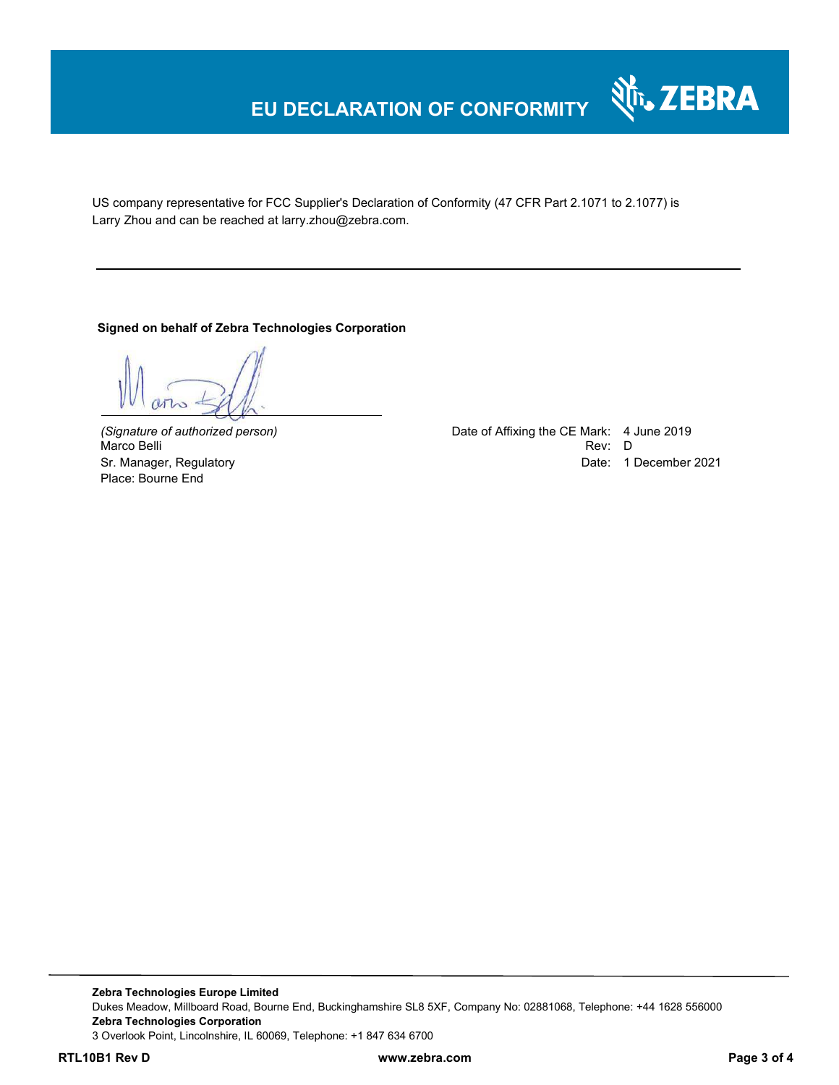# **EU DECLARATION OF CONFORMITY**

US company representative for FCC Supplier's Declaration of Conformity (47 CFR Part 2.1071 to 2.1077) is Larry Zhou and can be reached at larry.zhou@zebra.com.

**Signed on behalf of Zebra Technologies Corporation** 

Marco Belli Place: Bourne End

*(Signature of authorized person)* Date of Affixing the CE Mark: 4 June 2019 Sr. Manager, Regulatory **Date: 1 December 2021** 

Nr. ZEBRA

**Zebra Technologies Europe Limited**  Dukes Meadow, Millboard Road, Bourne End, Buckinghamshire SL8 5XF, Company No: 02881068, Telephone: +44 1628 556000 **Zebra Technologies Corporation**  3 Overlook Point, Lincolnshire, IL 60069, Telephone: +1 847 634 6700